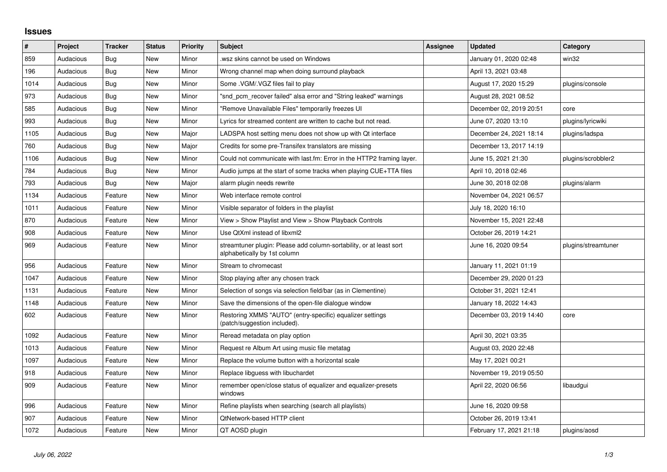## **Issues**

| $\sharp$ | Project   | <b>Tracker</b> | <b>Status</b> | <b>Priority</b> | <b>Subject</b>                                                                                      | Assignee | <b>Updated</b>          | Category            |
|----------|-----------|----------------|---------------|-----------------|-----------------------------------------------------------------------------------------------------|----------|-------------------------|---------------------|
| 859      | Audacious | Bug            | New           | Minor           | wsz skins cannot be used on Windows                                                                 |          | January 01, 2020 02:48  | win32               |
| 196      | Audacious | <b>Bug</b>     | New           | Minor           | Wrong channel map when doing surround playback                                                      |          | April 13, 2021 03:48    |                     |
| 1014     | Audacious | Bug            | New           | Minor           | Some .VGM/.VGZ files fail to play                                                                   |          | August 17, 2020 15:29   | plugins/console     |
| 973      | Audacious | Bug            | New           | Minor           | "snd_pcm_recover failed" alsa error and "String leaked" warnings                                    |          | August 28, 2021 08:52   |                     |
| 585      | Audacious | Bug            | New           | Minor           | 'Remove Unavailable Files" temporarily freezes UI                                                   |          | December 02, 2019 20:51 | core                |
| 993      | Audacious | Bug            | New           | Minor           | Lyrics for streamed content are written to cache but not read.                                      |          | June 07, 2020 13:10     | plugins/lyricwiki   |
| 1105     | Audacious | Bug            | New           | Major           | LADSPA host setting menu does not show up with Qt interface                                         |          | December 24, 2021 18:14 | plugins/ladspa      |
| 760      | Audacious | Bug            | New           | Major           | Credits for some pre-Transifex translators are missing                                              |          | December 13, 2017 14:19 |                     |
| 1106     | Audacious | <b>Bug</b>     | New           | Minor           | Could not communicate with last.fm: Error in the HTTP2 framing layer.                               |          | June 15, 2021 21:30     | plugins/scrobbler2  |
| 784      | Audacious | Bug            | <b>New</b>    | Minor           | Audio jumps at the start of some tracks when playing CUE+TTA files                                  |          | April 10, 2018 02:46    |                     |
| 793      | Audacious | Bug            | New           | Major           | alarm plugin needs rewrite                                                                          |          | June 30, 2018 02:08     | plugins/alarm       |
| 1134     | Audacious | Feature        | New           | Minor           | Web interface remote control                                                                        |          | November 04, 2021 06:57 |                     |
| 1011     | Audacious | Feature        | New           | Minor           | Visible separator of folders in the playlist                                                        |          | July 18, 2020 16:10     |                     |
| 870      | Audacious | Feature        | New           | Minor           | View > Show Playlist and View > Show Playback Controls                                              |          | November 15, 2021 22:48 |                     |
| 908      | Audacious | Feature        | New           | Minor           | Use QtXml instead of libxml2                                                                        |          | October 26, 2019 14:21  |                     |
| 969      | Audacious | Feature        | New           | Minor           | streamtuner plugin: Please add column-sortability, or at least sort<br>alphabetically by 1st column |          | June 16, 2020 09:54     | plugins/streamtuner |
| 956      | Audacious | Feature        | New           | Minor           | Stream to chromecast                                                                                |          | January 11, 2021 01:19  |                     |
| 1047     | Audacious | Feature        | New           | Minor           | Stop playing after any chosen track                                                                 |          | December 29, 2020 01:23 |                     |
| 1131     | Audacious | Feature        | New           | Minor           | Selection of songs via selection field/bar (as in Clementine)                                       |          | October 31, 2021 12:41  |                     |
| 1148     | Audacious | Feature        | New           | Minor           | Save the dimensions of the open-file dialogue window                                                |          | January 18, 2022 14:43  |                     |
| 602      | Audacious | Feature        | New           | Minor           | Restoring XMMS "AUTO" (entry-specific) equalizer settings<br>(patch/suggestion included).           |          | December 03, 2019 14:40 | core                |
| 1092     | Audacious | Feature        | New           | Minor           | Reread metadata on play option                                                                      |          | April 30, 2021 03:35    |                     |
| 1013     | Audacious | Feature        | New           | Minor           | Request re Album Art using music file metatag                                                       |          | August 03, 2020 22:48   |                     |
| 1097     | Audacious | Feature        | New           | Minor           | Replace the volume button with a horizontal scale                                                   |          | May 17, 2021 00:21      |                     |
| 918      | Audacious | Feature        | New           | Minor           | Replace libguess with libuchardet                                                                   |          | November 19, 2019 05:50 |                     |
| 909      | Audacious | Feature        | New           | Minor           | remember open/close status of equalizer and equalizer-presets<br>windows                            |          | April 22, 2020 06:56    | libaudgui           |
| 996      | Audacious | Feature        | New           | Minor           | Refine playlists when searching (search all playlists)                                              |          | June 16, 2020 09:58     |                     |
| 907      | Audacious | Feature        | New           | Minor           | QtNetwork-based HTTP client                                                                         |          | October 26, 2019 13:41  |                     |
| 1072     | Audacious | Feature        | New           | Minor           | QT AOSD plugin                                                                                      |          | February 17, 2021 21:18 | plugins/aosd        |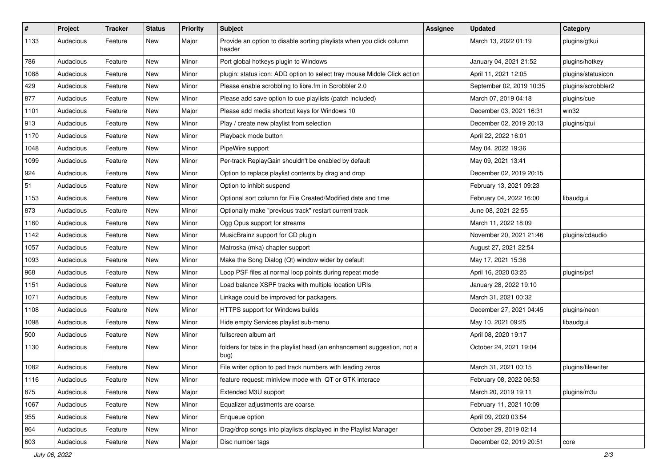| $\#$ | Project   | <b>Tracker</b> | <b>Status</b> | <b>Priority</b> | <b>Subject</b>                                                                  | <b>Assignee</b> | <b>Updated</b>           | Category           |
|------|-----------|----------------|---------------|-----------------|---------------------------------------------------------------------------------|-----------------|--------------------------|--------------------|
| 1133 | Audacious | Feature        | New           | Major           | Provide an option to disable sorting playlists when you click column<br>header  |                 | March 13, 2022 01:19     | plugins/gtkui      |
| 786  | Audacious | Feature        | New           | Minor           | Port global hotkeys plugin to Windows                                           |                 | January 04, 2021 21:52   | plugins/hotkey     |
| 1088 | Audacious | Feature        | New           | Minor           | plugin: status icon: ADD option to select tray mouse Middle Click action        |                 | April 11, 2021 12:05     | plugins/statusicon |
| 429  | Audacious | Feature        | New           | Minor           | Please enable scrobbling to libre.fm in Scrobbler 2.0                           |                 | September 02, 2019 10:35 | plugins/scrobbler2 |
| 877  | Audacious | Feature        | New           | Minor           | Please add save option to cue playlists (patch included)                        |                 | March 07, 2019 04:18     | plugins/cue        |
| 1101 | Audacious | Feature        | New           | Major           | Please add media shortcut keys for Windows 10                                   |                 | December 03, 2021 16:31  | win32              |
| 913  | Audacious | Feature        | New           | Minor           | Play / create new playlist from selection                                       |                 | December 02, 2019 20:13  | plugins/qtui       |
| 1170 | Audacious | Feature        | New           | Minor           | Playback mode button                                                            |                 | April 22, 2022 16:01     |                    |
| 1048 | Audacious | Feature        | New           | Minor           | PipeWire support                                                                |                 | May 04, 2022 19:36       |                    |
| 1099 | Audacious | Feature        | New           | Minor           | Per-track ReplayGain shouldn't be enabled by default                            |                 | May 09, 2021 13:41       |                    |
| 924  | Audacious | Feature        | New           | Minor           | Option to replace playlist contents by drag and drop                            |                 | December 02, 2019 20:15  |                    |
| 51   | Audacious | Feature        | New           | Minor           | Option to inhibit suspend                                                       |                 | February 13, 2021 09:23  |                    |
| 1153 | Audacious | Feature        | New           | Minor           | Optional sort column for File Created/Modified date and time                    |                 | February 04, 2022 16:00  | libaudgui          |
| 873  | Audacious | Feature        | New           | Minor           | Optionally make "previous track" restart current track                          |                 | June 08, 2021 22:55      |                    |
| 1160 | Audacious | Feature        | New           | Minor           | Ogg Opus support for streams                                                    |                 | March 11, 2022 18:09     |                    |
| 1142 | Audacious | Feature        | New           | Minor           | MusicBrainz support for CD plugin                                               |                 | November 20, 2021 21:46  | plugins/cdaudio    |
| 1057 | Audacious | Feature        | New           | Minor           | Matroska (mka) chapter support                                                  |                 | August 27, 2021 22:54    |                    |
| 1093 | Audacious | Feature        | New           | Minor           | Make the Song Dialog (Qt) window wider by default                               |                 | May 17, 2021 15:36       |                    |
| 968  | Audacious | Feature        | New           | Minor           | Loop PSF files at normal loop points during repeat mode                         |                 | April 16, 2020 03:25     | plugins/psf        |
| 1151 | Audacious | Feature        | New           | Minor           | Load balance XSPF tracks with multiple location URIs                            |                 | January 28, 2022 19:10   |                    |
| 1071 | Audacious | Feature        | New           | Minor           | Linkage could be improved for packagers.                                        |                 | March 31, 2021 00:32     |                    |
| 1108 | Audacious | Feature        | New           | Minor           | HTTPS support for Windows builds                                                |                 | December 27, 2021 04:45  | plugins/neon       |
| 1098 | Audacious | Feature        | New           | Minor           | Hide empty Services playlist sub-menu                                           |                 | May 10, 2021 09:25       | libaudgui          |
| 500  | Audacious | Feature        | New           | Minor           | fullscreen album art                                                            |                 | April 08, 2020 19:17     |                    |
| 1130 | Audacious | Feature        | New           | Minor           | folders for tabs in the playlist head (an enhancement suggestion, not a<br>bug) |                 | October 24, 2021 19:04   |                    |
| 1082 | Audacious | Feature        | New           | Minor           | File writer option to pad track numbers with leading zeros                      |                 | March 31, 2021 00:15     | plugins/filewriter |
| 1116 | Audacious | Feature        | New           | Minor           | feature request: miniview mode with QT or GTK interace                          |                 | February 08, 2022 06:53  |                    |
| 875  | Audacious | Feature        | New           | Major           | Extended M3U support                                                            |                 | March 20, 2019 19:11     | plugins/m3u        |
| 1067 | Audacious | Feature        | New           | Minor           | Equalizer adjustments are coarse.                                               |                 | February 11, 2021 10:09  |                    |
| 955  | Audacious | Feature        | New           | Minor           | Enqueue option                                                                  |                 | April 09, 2020 03:54     |                    |
| 864  | Audacious | Feature        | New           | Minor           | Drag/drop songs into playlists displayed in the Playlist Manager                |                 | October 29, 2019 02:14   |                    |
| 603  | Audacious | Feature        | New           | Major           | Disc number tags                                                                |                 | December 02, 2019 20:51  | core               |